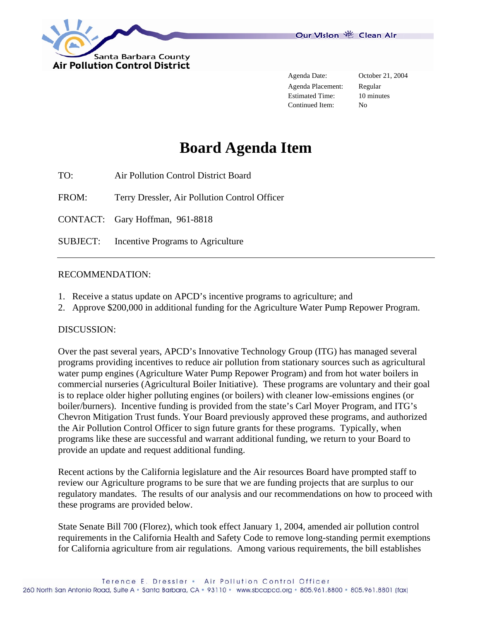

Agenda Placement: Regular Estimated Time: 10 minutes Continued Item: No

# **Board Agenda Item**

TO: Air Pollution Control District Board

FROM: Terry Dressler, Air Pollution Control Officer

CONTACT: Gary Hoffman, 961-8818

SUBJECT: Incentive Programs to Agriculture

#### RECOMMENDATION:

- 1. Receive a status update on APCD's incentive programs to agriculture; and
- 2. Approve \$200,000 in additional funding for the Agriculture Water Pump Repower Program.

#### DISCUSSION:

Over the past several years, APCD's Innovative Technology Group (ITG) has managed several programs providing incentives to reduce air pollution from stationary sources such as agricultural water pump engines (Agriculture Water Pump Repower Program) and from hot water boilers in commercial nurseries (Agricultural Boiler Initiative). These programs are voluntary and their goal is to replace older higher polluting engines (or boilers) with cleaner low-emissions engines (or boiler/burners). Incentive funding is provided from the state's Carl Moyer Program, and ITG's Chevron Mitigation Trust funds. Your Board previously approved these programs, and authorized the Air Pollution Control Officer to sign future grants for these programs. Typically, when programs like these are successful and warrant additional funding, we return to your Board to provide an update and request additional funding.

Recent actions by the California legislature and the Air resources Board have prompted staff to review our Agriculture programs to be sure that we are funding projects that are surplus to our regulatory mandates. The results of our analysis and our recommendations on how to proceed with these programs are provided below.

State Senate Bill 700 (Florez), which took effect January 1, 2004, amended air pollution control requirements in the California Health and Safety Code to remove long-standing permit exemptions for California agriculture from air regulations. Among various requirements, the bill establishes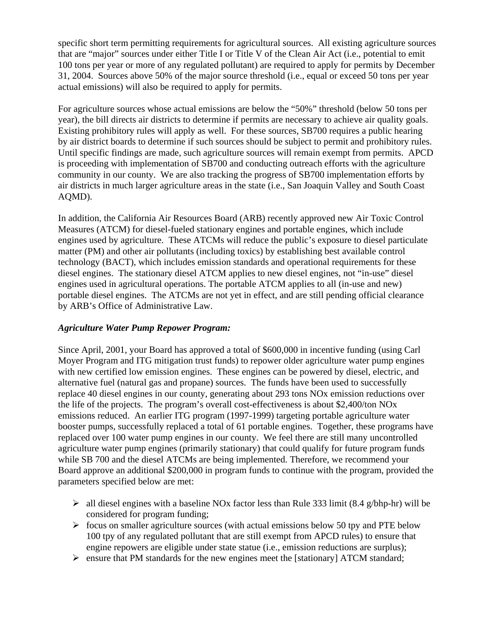specific short term permitting requirements for agricultural sources. All existing agriculture sources that are "major" sources under either Title I or Title V of the Clean Air Act (i.e., potential to emit 100 tons per year or more of any regulated pollutant) are required to apply for permits by December 31, 2004. Sources above 50% of the major source threshold (i.e., equal or exceed 50 tons per year actual emissions) will also be required to apply for permits.

For agriculture sources whose actual emissions are below the "50%" threshold (below 50 tons per year), the bill directs air districts to determine if permits are necessary to achieve air quality goals. Existing prohibitory rules will apply as well. For these sources, SB700 requires a public hearing by air district boards to determine if such sources should be subject to permit and prohibitory rules. Until specific findings are made, such agriculture sources will remain exempt from permits. APCD is proceeding with implementation of SB700 and conducting outreach efforts with the agriculture community in our county. We are also tracking the progress of SB700 implementation efforts by air districts in much larger agriculture areas in the state (i.e., San Joaquin Valley and South Coast AQMD).

In addition, the California Air Resources Board (ARB) recently approved new Air Toxic Control Measures (ATCM) for diesel-fueled stationary engines and portable engines, which include engines used by agriculture. These ATCMs will reduce the public's exposure to diesel particulate matter (PM) and other air pollutants (including toxics) by establishing best available control technology (BACT), which includes emission standards and operational requirements for these diesel engines. The stationary diesel ATCM applies to new diesel engines, not "in-use" diesel engines used in agricultural operations. The portable ATCM applies to all (in-use and new) portable diesel engines. The ATCMs are not yet in effect, and are still pending official clearance by ARB's Office of Administrative Law.

### *Agriculture Water Pump Repower Program:*

Since April, 2001, your Board has approved a total of \$600,000 in incentive funding (using Carl Moyer Program and ITG mitigation trust funds) to repower older agriculture water pump engines with new certified low emission engines. These engines can be powered by diesel, electric, and alternative fuel (natural gas and propane) sources. The funds have been used to successfully replace 40 diesel engines in our county, generating about 293 tons NOx emission reductions over the life of the projects. The program's overall cost-effectiveness is about \$2,400/ton NOx emissions reduced. An earlier ITG program (1997-1999) targeting portable agriculture water booster pumps, successfully replaced a total of 61 portable engines. Together, these programs have replaced over 100 water pump engines in our county. We feel there are still many uncontrolled agriculture water pump engines (primarily stationary) that could qualify for future program funds while SB 700 and the diesel ATCMs are being implemented. Therefore, we recommend your Board approve an additional \$200,000 in program funds to continue with the program, provided the parameters specified below are met:

- $\triangleright$  all diesel engines with a baseline NOx factor less than Rule 333 limit (8.4 g/bhp-hr) will be considered for program funding;
- $\triangleright$  focus on smaller agriculture sources (with actual emissions below 50 tpy and PTE below 100 tpy of any regulated pollutant that are still exempt from APCD rules) to ensure that engine repowers are eligible under state statue (i.e., emission reductions are surplus);
- $\triangleright$  ensure that PM standards for the new engines meet the [stationary] ATCM standard;